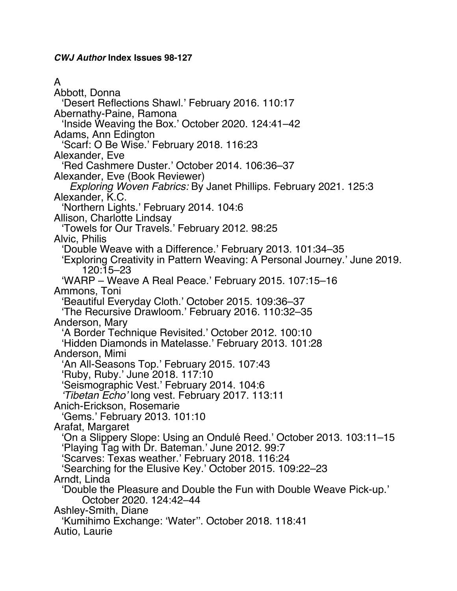*CWJ Author* **Index Issues 98-127**

### A

Abbott, Donna 'Desert Reflections Shawl.' February 2016. 110:17 Abernathy-Paine, Ramona 'Inside Weaving the Box.' October 2020. 124:41–42 Adams, Ann Edington 'Scarf: O Be Wise.' February 2018. 116:23 Alexander, Eve 'Red Cashmere Duster.' October 2014. 106:36–37 Alexander, Eve (Book Reviewer) *Exploring Woven Fabrics:* By Janet Phillips. February 2021. 125:3 Alexander, K.C. 'Northern Lights.' February 2014. 104:6 Allison, Charlotte Lindsay 'Towels for Our Travels.' February 2012. 98:25 Alvic, Philis 'Double Weave with a Difference.' February 2013. 101:34–35 'Exploring Creativity in Pattern Weaving: A Personal Journey.' June 2019. 120:15–23 'WARP – Weave A Real Peace.' February 2015. 107:15–16 Ammons, Toni 'Beautiful Everyday Cloth.' October 2015. 109:36–37 'The Recursive Drawloom.' February 2016. 110:32–35 Anderson, Mary 'A Border Technique Revisited.' October 2012. 100:10 'Hidden Diamonds in Matelasse.' February 2013. 101:28 Anderson, Mimi 'An All-Seasons Top.' February 2015. 107:43 'Ruby, Ruby.' June 2018. 117:10 'Seismographic Vest.' February 2014. 104:6 *'Tibetan Echo'* long vest. February 2017. 113:11 Anich-Erickson, Rosemarie 'Gems.' February 2013. 101:10 Arafat, Margaret 'On a Slippery Slope: Using an Ondulé Reed.' October 2013. 103:11–15 'Playing Tag with Dr. Bateman.' June 2012. 99:7 'Scarves: Texas weather.' February 2018. 116:24 'Searching for the Elusive Key.' October 2015. 109:22–23 Arndt, Linda 'Double the Pleasure and Double the Fun with Double Weave Pick-up.' October 2020. 124:42–44 Ashley-Smith, Diane 'Kumihimo Exchange: 'Water''. October 2018. 118:41 Autio, Laurie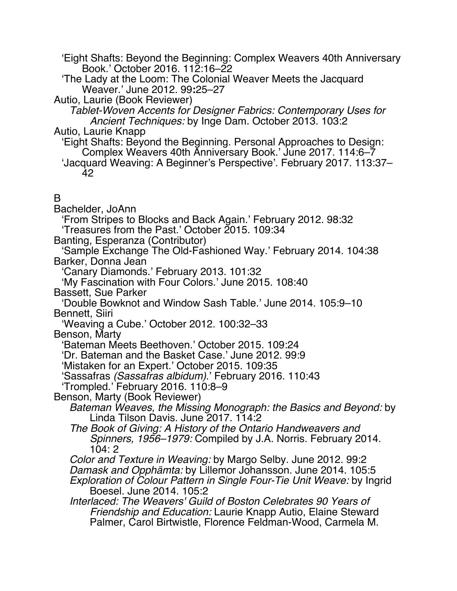'Eight Shafts: Beyond the Beginning: Complex Weavers 40th Anniversary Book.' October 2016. 112:16–22

'The Lady at the Loom: The Colonial Weaver Meets the Jacquard Weaver.' June 2012. 99**:**25–27

Autio, Laurie (Book Reviewer)

*Tablet-Woven Accents for Designer Fabrics: Contemporary Uses for Ancient Techniques:* by Inge Dam. October 2013. 103:2

Autio, Laurie Knapp

'Eight Shafts: Beyond the Beginning. Personal Approaches to Design: Complex Weavers 40th Anniversary Book.' June 2017. 114:6–7 'Jacquard Weaving: A Beginner's Perspective'. February 2017. 113:37–

42

## B

Bachelder, JoAnn

'From Stripes to Blocks and Back Again.' February 2012. 98:32

'Treasures from the Past.' October 2015. 109:34

Banting, Esperanza (Contributor)

'Sample Exchange The Old-Fashioned Way.' February 2014. 104:38 Barker, Donna Jean

'Canary Diamonds.' February 2013. 101:32

'My Fascination with Four Colors.' June 2015. 108:40

Bassett, Sue Parker

'Double Bowknot and Window Sash Table.' June 2014. 105:9–10 Bennett, Siiri

'Weaving a Cube.' October 2012. 100:32–33

Benson, Marty

'Bateman Meets Beethoven.' October 2015. 109:24

'Dr. Bateman and the Basket Case.' June 2012. 99:9

'Mistaken for an Expert.' October 2015. 109:35

'Sassafras *(Sassafras albidum)*.' February 2016. 110:43

'Trompled.' February 2016. 110:8–9

Benson, Marty (Book Reviewer)

*Bateman Weaves, the Missing Monograph: the Basics and Beyond:* by Linda Tilson Davis. June 2017. 114:2

*The Book of Giving: A History of the Ontario Handweavers and Spinners, 1956–1979:* Compiled by J.A. Norris. February 2014. 104: 2

*Color and Texture in Weaving:* by Margo Selby. June 2012. 99:2

*Damask and Opphämta:* by Lillemor Johansson. June 2014. 105:5

*Exploration of Colour Pattern in Single Four-Tie Unit Weave:* by Ingrid Boesel. June 2014. 105:2

*Interlaced: The Weavers' Guild of Boston Celebrates 90 Years of Friendship and Education:* Laurie Knapp Autio, Elaine Steward Palmer, Carol Birtwistle, Florence Feldman-Wood, Carmela M.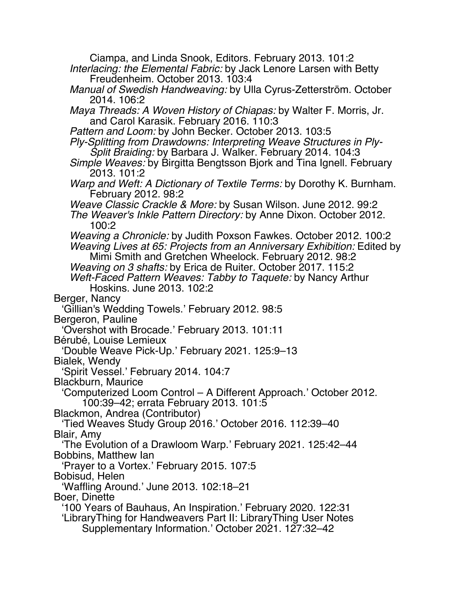Ciampa, and Linda Snook, Editors. February 2013. 101:2 *Interlacing: the Elemental Fabric:* by Jack Lenore Larsen with Betty Freudenheim. October 2013. 103:4 *Manual of Swedish Handweaving:* by Ulla Cyrus-Zetterström. October 2014. 106:2 *Maya Threads: A Woven History of Chiapas:* by Walter F. Morris, Jr. and Carol Karasik. February 2016. 110:3 *Pattern and Loom:* by John Becker. October 2013. 103:5 *Ply-Splitting from Drawdowns: Interpreting Weave Structures in Ply-Split Braiding:* by Barbara J. Walker. February 2014. 104:3 *Simple Weaves:* by Birgitta Bengtsson Bjork and Tina Ignell. February 2013. 101:2 *Warp and Weft: A Dictionary of Textile Terms:* by Dorothy K. Burnham. February 2012. 98:2 *Weave Classic Crackle & More:* by Susan Wilson. June 2012. 99:2 *The Weaver's Inkle Pattern Directory:* by Anne Dixon. October 2012. 100:2 *Weaving a Chronicle:* by Judith Poxson Fawkes. October 2012. 100:2 *Weaving Lives at 65: Projects from an Anniversary Exhibition:* Edited by Mimi Smith and Gretchen Wheelock. February 2012. 98:2 *Weaving on 3 shafts:* by Erica de Ruiter. October 2017. 115:2 *Weft-Faced Pattern Weaves: Tabby to Taquete:* by Nancy Arthur Hoskins. June 2013. 102:2 Berger, Nancy 'Gillian's Wedding Towels.' February 2012. 98:5 Bergeron, Pauline 'Overshot with Brocade.' February 2013. 101:11 Bérubé, Louise Lemieux 'Double Weave Pick-Up.' February 2021. 125:9–13 Bialek, Wendy 'Spirit Vessel.' February 2014. 104:7 Blackburn, Maurice 'Computerized Loom Control – A Different Approach.' October 2012. 100:39–42; errata February 2013. 101:5 Blackmon, Andrea (Contributor) 'Tied Weaves Study Group 2016.' October 2016. 112:39–40 Blair, Amy 'The Evolution of a Drawloom Warp.' February 2021. 125:42–44 Bobbins, Matthew Ian 'Prayer to a Vortex.' February 2015. 107:5 Bobisud, Helen 'Waffling Around.' June 2013. 102:18–21 Boer, Dinette '100 Years of Bauhaus, An Inspiration.' February 2020. 122:31 'LibraryThing for Handweavers Part II: LibraryThing User Notes Supplementary Information.' October 2021. 127:32–42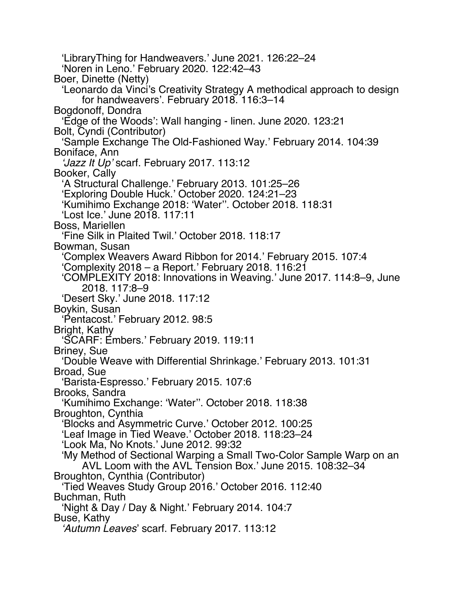'LibraryThing for Handweavers.' June 2021. 126:22–24 'Noren in Leno.' February 2020. 122:42–43 Boer, Dinette (Netty) 'Leonardo da Vinci's Creativity Strategy A methodical approach to design for handweavers'. February 2018. 116:3–14 Bogdonoff, Dondra 'Edge of the Woods': Wall hanging - linen. June 2020. 123:21 Bolt, Cyndi (Contributor) 'Sample Exchange The Old-Fashioned Way.' February 2014. 104:39 Boniface, Ann *'Jazz It Up'* scarf. February 2017. 113:12 Booker, Cally 'A Structural Challenge.' February 2013. 101:25–26 'Exploring Double Huck.' October 2020. 124:21–23 'Kumihimo Exchange 2018: 'Water''. October 2018. 118:31 'Lost Ice.' June 2018. 117:11 Boss, Mariellen 'Fine Silk in Plaited Twil.' October 2018. 118:17 Bowman, Susan 'Complex Weavers Award Ribbon for 2014.' February 2015. 107:4 'Complexity 2018 – a Report.' February 2018. 116:21 'COMPLEXITY 2018: Innovations in Weaving.' June 2017. 114:8–9, June 2018. 117:8–9 'Desert Sky.' June 2018. 117:12 Boykin, Susan 'Pentacost.' February 2012. 98:5 Bright, Kathy 'SCARF: Embers.' February 2019. 119:11 Briney, Sue 'Double Weave with Differential Shrinkage.' February 2013. 101:31 Broad, Sue 'Barista-Espresso.' February 2015. 107:6 Brooks, Sandra 'Kumihimo Exchange: 'Water''. October 2018. 118:38 Broughton, Cynthia 'Blocks and Asymmetric Curve.' October 2012. 100:25 'Leaf Image in Tied Weave.' October 2018. 118:23–24 'Look Ma, No Knots.' June 2012. 99:32 'My Method of Sectional Warping a Small Two-Color Sample Warp on an AVL Loom with the AVL Tension Box.' June 2015. 108:32–34 Broughton, Cynthia (Contributor) 'Tied Weaves Study Group 2016.' October 2016. 112:40 Buchman, Ruth 'Night & Day / Day & Night.' February 2014. 104:7 Buse, Kathy *'Autumn Leaves*' scarf. February 2017. 113:12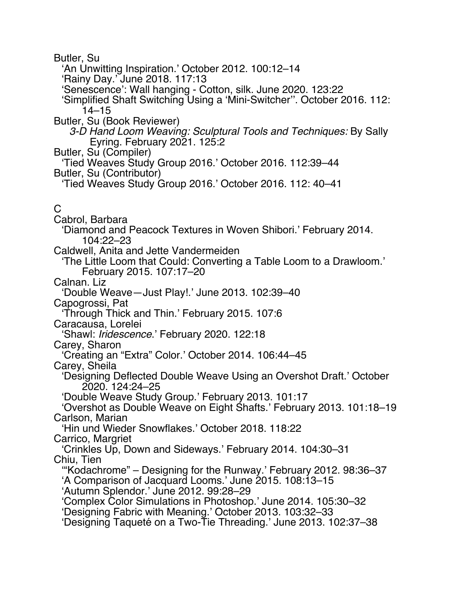Butler, Su

'An Unwitting Inspiration.' October 2012. 100:12–14

'Rainy Day.' June 2018. 117:13

'Senescence': Wall hanging - Cotton, silk. June 2020. 123:22

'Simplified Shaft Switching Using a 'Mini-Switcher''. October 2016. 112: 14–15

Butler, Su (Book Reviewer)

*3-D Hand Loom Weaving: Sculptural Tools and Techniques:* By Sally Eyring. February 2021. 125:2

Butler, Su (Compiler)

'Tied Weaves Study Group 2016.' October 2016. 112:39–44

Butler, Su (Contributor)

'Tied Weaves Study Group 2016.' October 2016. 112: 40–41

# C

Cabrol, Barbara

'Diamond and Peacock Textures in Woven Shibori.' February 2014. 104:22–23

Caldwell, Anita and Jette Vandermeiden

'The Little Loom that Could: Converting a Table Loom to a Drawloom.' February 2015. 107:17–20

Calnan. Liz

'Double Weave—Just Play!.' June 2013. 102:39–40

Capogrossi, Pat

'Through Thick and Thin.' February 2015. 107:6

Caracausa, Lorelei

'Shawl: *Iridescence*.' February 2020. 122:18

Carey, Sharon

'Creating an "Extra" Color.' October 2014. 106:44–45

Carey, Sheila

'Designing Deflected Double Weave Using an Overshot Draft.' October 2020. 124:24–25

'Double Weave Study Group.' February 2013. 101:17

'Overshot as Double Weave on Eight Shafts.' February 2013. 101:18–19 Carlson, Marian

'Hin und Wieder Snowflakes.' October 2018. 118:22 Carrico, Margriet

'Crinkles Up, Down and Sideways.' February 2014. 104:30–31 Chiu, Tien

'"Kodachrome" – Designing for the Runway.' February 2012. 98:36–37 'A Comparison of Jacquard Looms.' June 2015. 108:13–15

'Autumn Splendor.' June 2012. 99:28–29

'Complex Color Simulations in Photoshop.' June 2014. 105:30–32

'Designing Fabric with Meaning.' October 2013. 103:32–33

'Designing Taqueté on a Two-Tie Threading.' June 2013. 102:37–38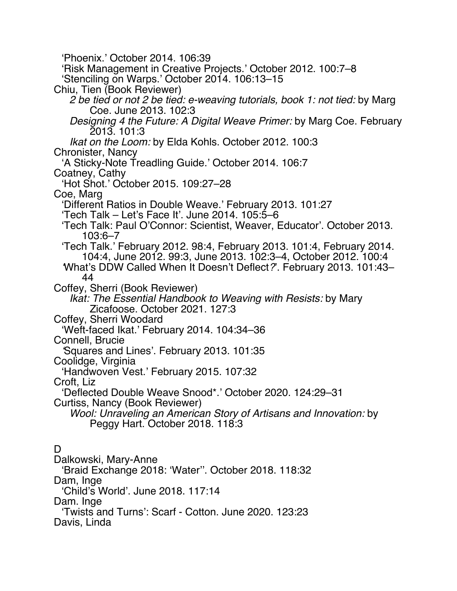'Phoenix.' October 2014. 106:39 'Risk Management in Creative Projects.' October 2012. 100:7–8 'Stenciling on Warps.' October 2014. 106:13–15 Chiu, Tien (Book Reviewer) *2 be tied or not 2 be tied: e-weaving tutorials, book 1: not tied:* by Marg Coe. June 2013. 102:3 *Designing 4 the Future: A Digital Weave Primer:* by Marg Coe. February 2013. 101:3 *Ikat on the Loom:* by Elda Kohls. October 2012. 100:3 Chronister, Nancy 'A Sticky-Note Treadling Guide.' October 2014. 106:7 Coatney, Cathy 'Hot Shot.' October 2015. 109:27–28 Coe, Marg 'Different Ratios in Double Weave.' February 2013. 101:27 'Tech Talk – Let's Face It'. June 2014. 105:5–6 'Tech Talk: Paul O'Connor: Scientist, Weaver, Educator'. October 2013. 103:6–7 'Tech Talk.' February 2012. 98:4, February 2013. 101:4, February 2014. 104:4, June 2012. 99:3, June 2013. 102:3–4, October 2012. 100:4 *'*What's DDW Called When It Doesn't Deflect*?*'. February 2013. 101:43– 44 Coffey, Sherri (Book Reviewer) *Ikat: The Essential Handbook to Weaving with Resists:* by Mary Zicafoose. October 2021. 127:3 Coffey, Sherri Woodard 'Weft-faced Ikat.' February 2014. 104:34–36 Connell, Brucie *'*Squares and Lines'. February 2013. 101:35 Coolidge, Virginia 'Handwoven Vest.' February 2015. 107:32 Croft, Liz 'Deflected Double Weave Snood\*.' October 2020. 124:29–31 Curtiss, Nancy (Book Reviewer) *Wool: Unraveling an American Story of Artisans and Innovation:* by Peggy Hart. October 2018. 118:3 D. Dalkowski, Mary-Anne 'Braid Exchange 2018: 'Water''. October 2018. 118:32

Dam, Inge

'Child's World'. June 2018. 117:14

Dam. Inge

'Twists and Turns': Scarf - Cotton. June 2020. 123:23

Davis, Linda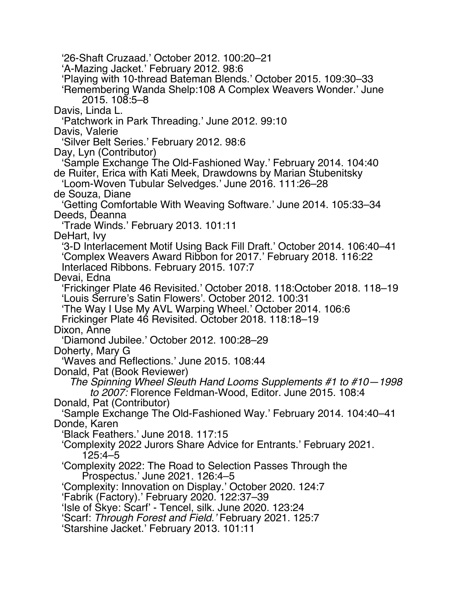'26-Shaft Cruzaad.' October 2012. 100:20–21 'A-Mazing Jacket.' February 2012. 98:6 'Playing with 10-thread Bateman Blends.' October 2015. 109:30–33 'Remembering Wanda Shelp:108 A Complex Weavers Wonder.' June 2015. 108:5–8 Davis, Linda L. 'Patchwork in Park Threading.' June 2012. 99:10 Davis, Valerie 'Silver Belt Series.' February 2012. 98:6 Day, Lyn (Contributor) 'Sample Exchange The Old-Fashioned Way.' February 2014. 104:40 de Ruiter, Erica with Kati Meek, Drawdowns by Marian Stubenitsky 'Loom-Woven Tubular Selvedges.' June 2016. 111:26–28 de Souza, Diane 'Getting Comfortable With Weaving Software.' June 2014. 105:33–34 Deeds, Deanna 'Trade Winds.' February 2013. 101:11 DeHart, Ivy '3-D Interlacement Motif Using Back Fill Draft.' October 2014. 106:40–41 'Complex Weavers Award Ribbon for 2017.' February 2018. 116:22 Interlaced Ribbons. February 2015. 107:7 Devai, Edna 'Frickinger Plate 46 Revisited.' October 2018. 118:October 2018. 118–19 'Louis Serrure's Satin Flowers'. October 2012. 100:31 'The Way I Use My AVL Warping Wheel.' October 2014. 106:6 Frickinger Plate 46 Revisited. October 2018. 118:18–19 Dixon, Anne 'Diamond Jubilee.' October 2012. 100:28–29 Doherty, Mary G 'Waves and Reflections.' June 2015. 108:44 Donald, Pat (Book Reviewer) *The Spinning Wheel Sleuth Hand Looms Supplements #1 to #10—1998 to 2007:* Florence Feldman-Wood, Editor. June 2015. 108:4 Donald, Pat (Contributor) 'Sample Exchange The Old-Fashioned Way.' February 2014. 104:40–41 Donde, Karen 'Black Feathers.' June 2018. 117:15 'Complexity 2022 Jurors Share Advice for Entrants.' February 2021. 125:4–5 'Complexity 2022: The Road to Selection Passes Through the Prospectus.' June 2021. 126:4–5 'Complexity: Innovation on Display.' October 2020. 124:7 'Fabrik (Factory).' February 2020. 122:37–39 'Isle of Skye: Scarf' - Tencel, silk. June 2020. 123:24 'Scarf: *Through Forest and Field.'* February 2021. 125:7 'Starshine Jacket.' February 2013. 101:11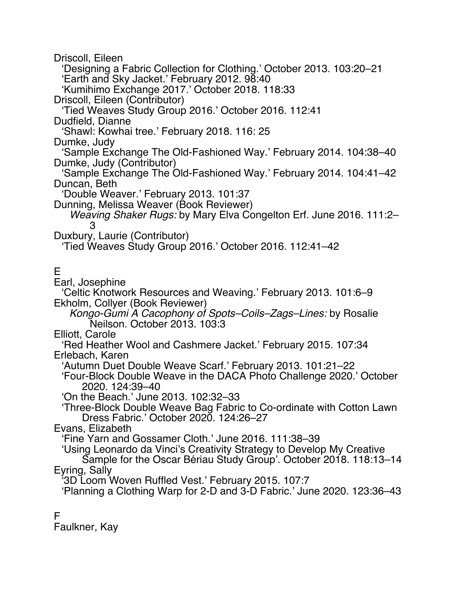Driscoll, Eileen

'Designing a Fabric Collection for Clothing.' October 2013. 103:20–21 'Earth and Sky Jacket.' February 2012. 98:40 'Kumihimo Exchange 2017.' October 2018. 118:33 Driscoll, Eileen (Contributor) 'Tied Weaves Study Group 2016.' October 2016. 112:41 Dudfield, Dianne 'Shawl: Kowhai tree.' February 2018. 116: 25 Dumke, Judy 'Sample Exchange The Old-Fashioned Way.' February 2014. 104:38–40 Dumke, Judy (Contributor) 'Sample Exchange The Old-Fashioned Way.' February 2014. 104:41–42 Duncan, Beth 'Double Weaver.' February 2013. 101:37 Dunning, Melissa Weaver (Book Reviewer) *Weaving Shaker Rugs:* by Mary Elva Congelton Erf. June 2016. 111:2– 3 Duxbury, Laurie (Contributor) 'Tied Weaves Study Group 2016.' October 2016. 112:41–42 E Earl, Josephine 'Celtic Knotwork Resources and Weaving.' February 2013. 101:6–9 Ekholm, Collyer (Book Reviewer) *Kongo-Gumi A Cacophony of Spots–Coils–Zags–Lines:* by Rosalie Neilson. October 2013. 103:3 Elliott, Carole 'Red Heather Wool and Cashmere Jacket.' February 2015. 107:34 Erlebach, Karen 'Autumn Duet Double Weave Scarf.' February 2013. 101:21–22 'Four-Block Double Weave in the DACA Photo Challenge 2020.' October 2020. 124:39–40 'On the Beach.' June 2013. 102:32–33 'Three-Block Double Weave Bag Fabric to Co-ordinate with Cotton Lawn Dress Fabric.' October 2020. 124:26–27 Evans, Elizabeth 'Fine Yarn and Gossamer Cloth.' June 2016. 111:38–39 'Using Leonardo da Vinci's Creativity Strategy to Develop My Creative Sample for the Oscar Bériau Study Group'. October 2018. 118:13–14 Eyring, Sally '3D Loom Woven Ruffled Vest.' February 2015. 107:7 'Planning a Clothing Warp for 2-D and 3-D Fabric.' June 2020. 123:36–43 F

Faulkner, Kay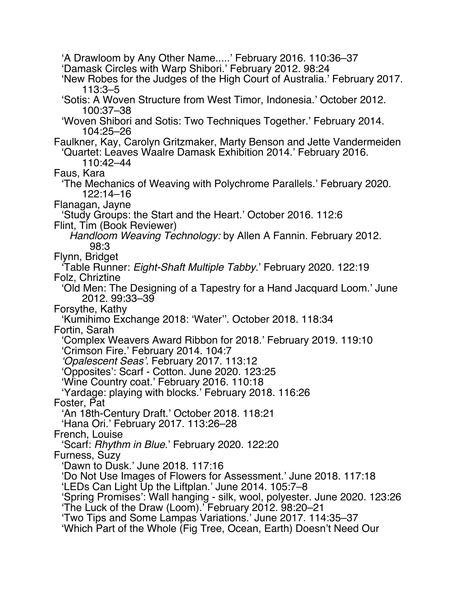'A Drawloom by Any Other Name.....' February 2016. 110:36–37 'Damask Circles with Warp Shibori.' February 2012. 98:24 'New Robes for the Judges of the High Court of Australia.' February 2017. 113:3–5 'Sotis: A Woven Structure from West Timor, Indonesia.' October 2012. 100:37–38 'Woven Shibori and Sotis: Two Techniques Together.' February 2014. 104:25–26 Faulkner, Kay, Carolyn Gritzmaker, Marty Benson and Jette Vandermeiden 'Quartet: Leaves Waalre Damask Exhibition 2014.' February 2016. 110:42–44 Faus, Kara 'The Mechanics of Weaving with Polychrome Parallels.' February 2020. 122:14–16 Flanagan, Jayne 'Study Groups: the Start and the Heart.' October 2016. 112:6 Flint, Tim (Book Reviewer) *Handloom Weaving Technology:* by Allen A Fannin. February 2012. 98:3 Flynn, Bridget 'Table Runner: *Eight-Shaft Multiple Tabby*.' February 2020. 122:19 Folz, Chriztine 'Old Men: The Designing of a Tapestry for a Hand Jacquard Loom.' June 2012. 99:33–39 Forsythe, Kathy 'Kumihimo Exchange 2018: 'Water''. October 2018. 118:34 Fortin, Sarah 'Complex Weavers Award Ribbon for 2018.' February 2019. 119:10 'Crimson Fire.' February 2014. 104:7 *'Opalescent Seas'.* February 2017. 113:12 'Opposites': Scarf - Cotton. June 2020. 123:25 'Wine Country coat.' February 2016. 110:18 'Yardage: playing with blocks.' February 2018. 116:26 Foster, Pat 'An 18th-Century Draft.' October 2018. 118:21 'Hana Ori.' February 2017. 113:26–28 French, Louise 'Scarf: *Rhythm in Blue*.' February 2020. 122:20 Furness, Suzy 'Dawn to Dusk.' June 2018. 117:16 'Do Not Use Images of Flowers for Assessment.' June 2018. 117:18 'LEDs Can Light Up the Liftplan.' June 2014. 105:7–8 'Spring Promises': Wall hanging - silk, wool, polyester. June 2020. 123:26 'The Luck of the Draw (Loom).' February 2012. 98:20–21 'Two Tips and Some Lampas Variations.' June 2017. 114:35–37 'Which Part of the Whole (Fig Tree, Ocean, Earth) Doesn't Need Our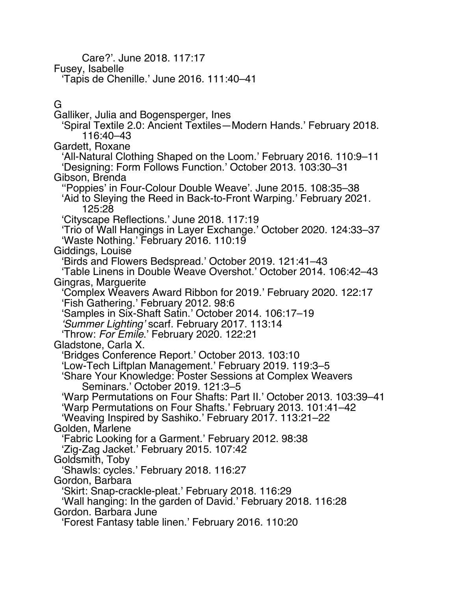Care?'. June 2018. 117:17 Fusey, Isabelle 'Tapis de Chenille.' June 2016. 111:40–41 G Galliker, Julia and Bogensperger, Ines 'Spiral Textile 2.0: Ancient Textiles—Modern Hands.' February 2018. 116:40–43 Gardett, Roxane 'All-Natural Clothing Shaped on the Loom.' February 2016. 110:9–11 'Designing: Form Follows Function.' October 2013. 103:30–31 Gibson, Brenda ''Poppies' in Four-Colour Double Weave'. June 2015. 108:35–38 'Aid to Sleying the Reed in Back-to-Front Warping.' February 2021. 125:28 'Cityscape Reflections.' June 2018. 117:19 'Trio of Wall Hangings in Layer Exchange.' October 2020. 124:33–37 'Waste Nothing.' February 2016. 110:19 Giddings, Louise 'Birds and Flowers Bedspread.' October 2019. 121:41–43 'Table Linens in Double Weave Overshot.' October 2014. 106:42–43 Gingras, Marguerite 'Complex Weavers Award Ribbon for 2019.' February 2020. 122:17 'Fish Gathering.' February 2012. 98:6 'Samples in Six-Shaft Satin.' October 2014. 106:17–19 *'Summer Lighting'* scarf. February 2017. 113:14 'Throw: *For Emile*.' February 2020. 122:21 Gladstone, Carla X. 'Bridges Conference Report.' October 2013. 103:10 'Low-Tech Liftplan Management.' February 2019. 119:3–5 'Share Your Knowledge: Poster Sessions at Complex Weavers Seminars.' October 2019. 121:3–5 'Warp Permutations on Four Shafts: Part II.' October 2013. 103:39–41 'Warp Permutations on Four Shafts.' February 2013. 101:41–42 'Weaving Inspired by Sashiko.' February 2017. 113:21–22 Golden, Marlene 'Fabric Looking for a Garment.' February 2012. 98:38

'Zig-Zag Jacket.' February 2015. 107:42

Goldsmith, Toby

'Shawls: cycles.' February 2018. 116:27

Gordon, Barbara

'Skirt: Snap-crackle-pleat.' February 2018. 116:29

'Wall hanging: In the garden of David.' February 2018. 116:28 Gordon. Barbara June

'Forest Fantasy table linen.' February 2016. 110:20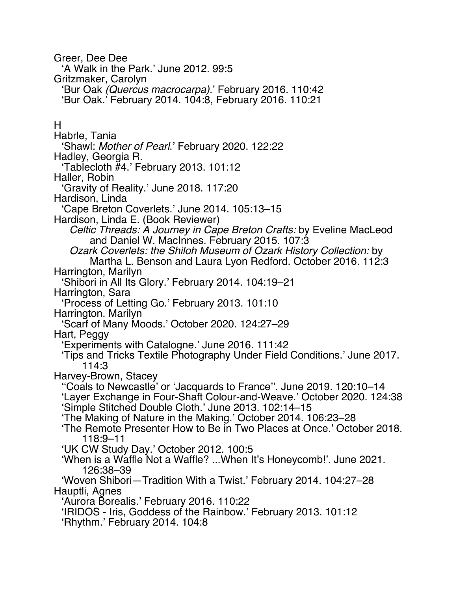Greer, Dee Dee 'A Walk in the Park.' June 2012. 99:5 Gritzmaker, Carolyn 'Bur Oak *(Quercus macrocarpa)*.' February 2016. 110:42 'Bur Oak.' February 2014. 104:8, February 2016. 110:21 H Habrle, Tania 'Shawl: *Mother of Pearl*.' February 2020. 122:22 Hadley, Georgia R. 'Tablecloth #4.' February 2013. 101:12 Haller, Robin 'Gravity of Reality.' June 2018. 117:20 Hardison, Linda 'Cape Breton Coverlets.' June 2014. 105:13–15 Hardison, Linda E. (Book Reviewer) *Celtic Threads: A Journey in Cape Breton Crafts:* by Eveline MacLeod and Daniel W. MacInnes. February 2015. 107:3 *Ozark Coverlets: the Shiloh Museum of Ozark History Collection:* by Martha L. Benson and Laura Lyon Redford. October 2016. 112:3 Harrington, Marilyn 'Shibori in All Its Glory.' February 2014. 104:19–21 Harrington, Sara 'Process of Letting Go.' February 2013. 101:10 Harrington. Marilyn 'Scarf of Many Moods.' October 2020. 124:27–29 Hart, Peggy 'Experiments with Catalogne.' June 2016. 111:42 'Tips and Tricks Textile Photography Under Field Conditions.' June 2017. 114:3 Harvey-Brown, Stacey ''Coals to Newcastle' or 'Jacquards to France''. June 2019. 120:10–14 'Layer Exchange in Four-Shaft Colour-and-Weave.' October 2020. 124:38 'Simple Stitched Double Cloth.' June 2013. 102:14–15 'The Making of Nature in the Making.' October 2014. 106:23–28 'The Remote Presenter How to Be in Two Places at Once.' October 2018. 118:9–11 'UK CW Study Day.' October 2012. 100:5 'When is a Waffle Not a Waffle? ...When It's Honeycomb!'. June 2021. 126:38–39 'Woven Shibori—Tradition With a Twist.' February 2014. 104:27–28 Hauptli, Agnes 'Aurora Borealis.' February 2016. 110:22 'IRIDOS - Iris, Goddess of the Rainbow.' February 2013. 101:12 'Rhythm.' February 2014. 104:8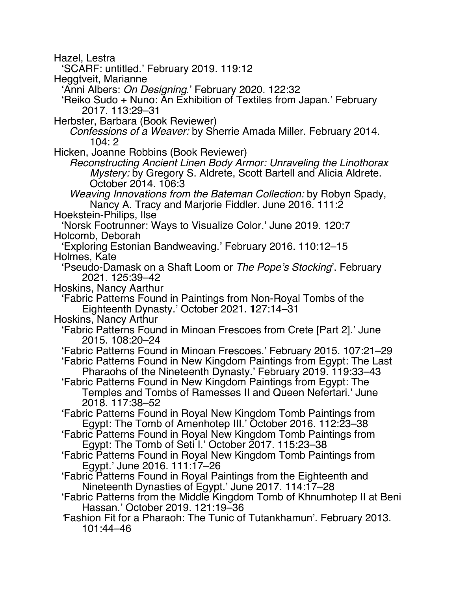Hazel, Lestra

'SCARF: untitled.' February 2019. 119:12

Heggtveit, Marianne

'Anni Albers: *On Designing*.' February 2020. 122:32

'Reiko Sudo + Nuno: An Exhibition of Textiles from Japan.' February 2017. 113:29–31

Herbster, Barbara (Book Reviewer)

*Confessions of a Weaver:* by Sherrie Amada Miller. February 2014. 104: 2

Hicken, Joanne Robbins (Book Reviewer)

*Reconstructing Ancient Linen Body Armor: Unraveling the Linothorax Mystery:* by Gregory S. Aldrete, Scott Bartell and Alicia Aldrete. October 2014. 106:3

*Weaving Innovations from the Bateman Collection:* by Robyn Spady, Nancy A. Tracy and Marjorie Fiddler. June 2016. 111:2

Hoekstein-Philips, Ilse

'Norsk Footrunner: Ways to Visualize Color.' June 2019. 120:7 Holcomb, Deborah

'Exploring Estonian Bandweaving.' February 2016. 110:12–15 Holmes, Kate

'Pseudo-Damask on a Shaft Loom or *The Pope's Stocking*'. February 2021. 125:39–42

Hoskins, Nancy Aarthur

'Fabric Patterns Found in Paintings from Non-Royal Tombs of the Eighteenth Dynasty.' October 2021. **1**27:14–31

Hoskins, Nancy Arthur

'Fabric Patterns Found in Minoan Frescoes from Crete [Part 2].' June 2015. 108:20–24

'Fabric Patterns Found in Minoan Frescoes.' February 2015. 107:21–29

'Fabric Patterns Found in New Kingdom Paintings from Egypt: The Last Pharaohs of the Nineteenth Dynasty.' February 2019. 119:33–43

'Fabric Patterns Found in New Kingdom Paintings from Egypt: The Temples and Tombs of Ramesses II and Queen Nefertari.' June 2018. 117:38–52

'Fabric Patterns Found in Royal New Kingdom Tomb Paintings from Egypt: The Tomb of Amenhotep III.' October 2016. 112:23–38

'Fabric Patterns Found in Royal New Kingdom Tomb Paintings from Egypt: The Tomb of Seti I.' October 2017. 115:23–38

'Fabric Patterns Found in Royal New Kingdom Tomb Paintings from Egypt.' June 2016. 111:17–26

'Fabric Patterns Found in Royal Paintings from the Eighteenth and Nineteenth Dynasties of Egypt.' June 2017. 114:17–28

'Fabric Patterns from the Middle Kingdom Tomb of Khnumhotep II at Beni

Fashion Fit for a Pharaoh: The Tunic of Tutankhamun'. February 2013. 101:44–46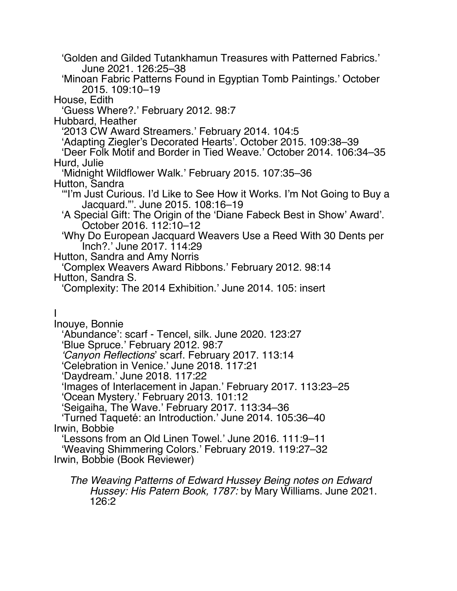'Golden and Gilded Tutankhamun Treasures with Patterned Fabrics.' June 2021. 126:25–38 'Minoan Fabric Patterns Found in Egyptian Tomb Paintings.' October 2015. 109:10–19 House, Edith 'Guess Where?.' February 2012. 98:7 Hubbard, Heather '2013 CW Award Streamers.' February 2014. 104:5 'Adapting Ziegler's Decorated Hearts'. October 2015. 109:38–39 'Deer Folk Motif and Border in Tied Weave.' October 2014. 106:34–35 Hurd, Julie 'Midnight Wildflower Walk.' February 2015. 107:35–36 Hutton, Sandra '"I'm Just Curious. I'd Like to See How it Works. I'm Not Going to Buy a Jacquard."'. June 2015. 108:16–19 'A Special Gift: The Origin of the 'Diane Fabeck Best in Show' Award'. October 2016. 112:10–12 'Why Do European Jacquard Weavers Use a Reed With 30 Dents per Inch?.' June 2017. 114:29 Hutton, Sandra and Amy Norris 'Complex Weavers Award Ribbons.' February 2012. 98:14 Hutton, Sandra S. 'Complexity: The 2014 Exhibition.' June 2014. 105: insert I Inouye, Bonnie 'Abundance': scarf - Tencel, silk. June 2020. 123:27 'Blue Spruce.' February 2012. 98:7 *'Canyon Reflections*' scarf. February 2017. 113:14 'Celebration in Venice.' June 2018. 117:21 'Daydream.' June 2018. 117:22 'Images of Interlacement in Japan.' February 2017. 113:23–25 'Ocean Mystery.' February 2013. 101:12 'Seigaiha, The Wave.' February 2017. 113:34–36 'Turned Taqueté: an Introduction.' June 2014. 105:36–40 Irwin, Bobbie 'Lessons from an Old Linen Towel.' June 2016. 111:9–11 'Weaving Shimmering Colors.' February 2019. 119:27–32 Irwin, Bobbie (Book Reviewer) *The Weaving Patterns of Edward Hussey Being notes on Edward Hussey: His Patern Book, 1787:* by Mary Williams. June 2021. 126:2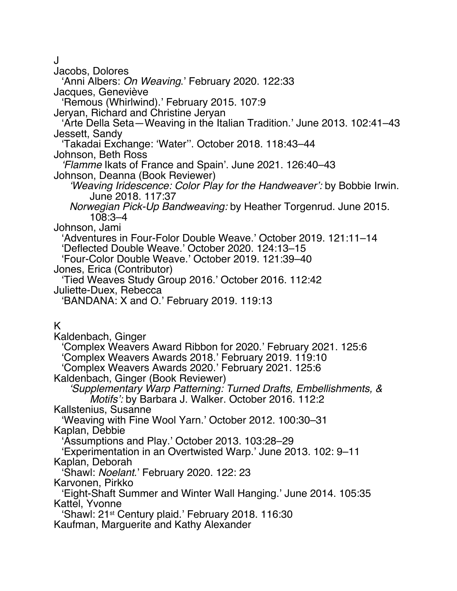J

Jacobs, Dolores

'Anni Albers: *On Weaving*.' February 2020. 122:33

Jacques, Geneviève

'Remous (Whirlwind).' February 2015. 107:9

Jeryan, Richard and Christine Jeryan

'Arte Della Seta—Weaving in the Italian Tradition.' June 2013. 102:41–43 Jessett, Sandy

'Takadai Exchange: 'Water''. October 2018. 118:43–44

Johnson, Beth Ross

*'Flamme* Ikats of France and Spain'. June 2021. 126:40–43 Johnson, Deanna (Book Reviewer)

*'Weaving Iridescence: Color Play for the Handweaver':* by Bobbie Irwin. June 2018. 117:37

*Norwegian Pick-Up Bandweaving:* by Heather Torgenrud. June 2015. 108:3–4

Johnson, Jami

'Adventures in Four-Folor Double Weave.' October 2019. 121:11–14 'Deflected Double Weave.' October 2020. 124:13–15

'Four-Color Double Weave.' October 2019. 121:39–40 Jones, Erica (Contributor)

'Tied Weaves Study Group 2016.' October 2016. 112:42

Juliette-Duex, Rebecca

'BANDANA: X and O.' February 2019. 119:13

K

Kaldenbach, Ginger 'Complex Weavers Award Ribbon for 2020.' February 2021. 125:6 'Complex Weavers Awards 2018.' February 2019. 119:10 'Complex Weavers Awards 2020.' February 2021. 125:6 Kaldenbach, Ginger (Book Reviewer) *'Supplementary Warp Patterning: Turned Drafts, Embellishments, & Motifs':* by Barbara J. Walker. October 2016. 112:2 Kallstenius, Susanne 'Weaving with Fine Wool Yarn.' October 2012. 100:30–31 Kaplan, Debbie 'Assumptions and Play.' October 2013. 103:28–29 'Experimentation in an Overtwisted Warp.' June 2013. 102: 9–11 Kaplan, Deborah 'Shawl: *Noelant*.' February 2020. 122: 23 Karvonen, Pirkko 'Eight-Shaft Summer and Winter Wall Hanging.' June 2014. 105:35 Kattel, Yvonne 'Shawl: 21st Century plaid.' February 2018. 116:30 Kaufman, Marguerite and Kathy Alexander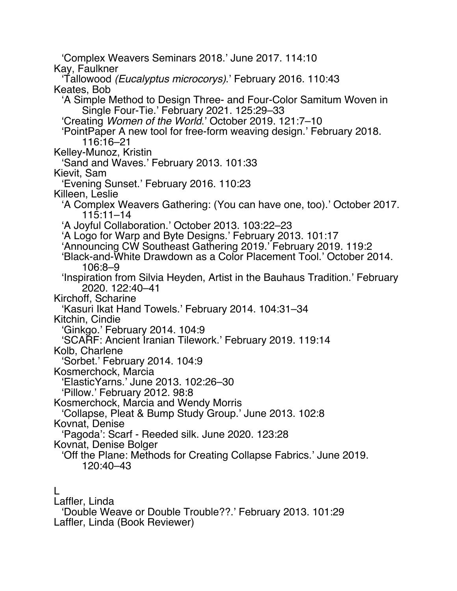'Complex Weavers Seminars 2018.' June 2017. 114:10 Kay, Faulkner 'Tallowood *(Eucalyptus microcorys)*.' February 2016. 110:43 Keates, Bob 'A Simple Method to Design Three- and Four-Color Samitum Woven in Single Four-Tie.' February 2021. 125:29–33 'Creating *Women of the World*.' October 2019. 121:7–10 'PointPaper A new tool for free-form weaving design.' February 2018. 116:16–21 Kelley-Munoz, Kristin 'Sand and Waves.' February 2013. 101:33 Kievit, Sam 'Evening Sunset.' February 2016. 110:23 Killeen, Leslie 'A Complex Weavers Gathering: (You can have one, too).' October 2017. 115:11–14 'A Joyful Collaboration.' October 2013. 103:22–23 'A Logo for Warp and Byte Designs.' February 2013. 101:17 'Announcing CW Southeast Gathering 2019.' February 2019. 119:2 'Black-and-White Drawdown as a Color Placement Tool.' October 2014. 106:8–9 'Inspiration from Silvia Heyden, Artist in the Bauhaus Tradition.' February 2020. 122:40–41 Kirchoff, Scharine 'Kasuri Ikat Hand Towels.' February 2014. 104:31–34 Kitchin, Cindie 'Ginkgo.' February 2014. 104:9 'SCARF: Ancient Iranian Tilework.' February 2019. 119:14 Kolb, Charlene 'Sorbet.' February 2014. 104:9 Kosmerchock, Marcia 'ElasticYarns.' June 2013. 102:26–30 'Pillow.' February 2012. 98:8 Kosmerchock, Marcia and Wendy Morris 'Collapse, Pleat & Bump Study Group.' June 2013. 102:8 Kovnat, Denise 'Pagoda': Scarf - Reeded silk. June 2020. 123:28 Kovnat, Denise Bolger 'Off the Plane: Methods for Creating Collapse Fabrics.' June 2019. 120:40–43 L

Laffler, Linda 'Double Weave or Double Trouble??.' February 2013. 101:29 Laffler, Linda (Book Reviewer)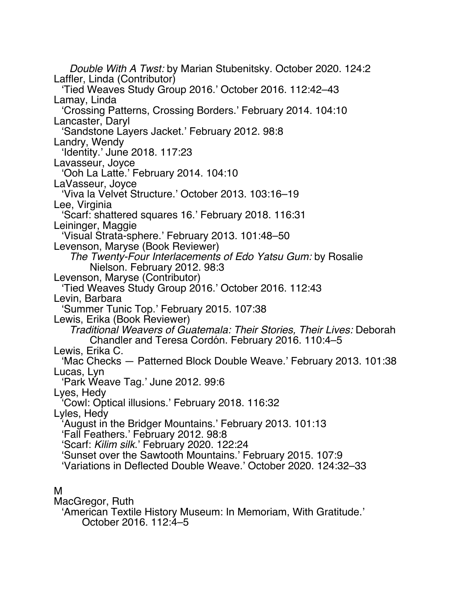*Double With A Twst:* by Marian Stubenitsky. October 2020. 124:2 Laffler, Linda (Contributor) 'Tied Weaves Study Group 2016.' October 2016. 112:42–43 Lamay, Linda 'Crossing Patterns, Crossing Borders.' February 2014. 104:10 Lancaster, Daryl 'Sandstone Layers Jacket.' February 2012. 98:8 Landry, Wendy 'Identity.' June 2018. 117:23 Lavasseur, Joyce 'Ooh La Latte.' February 2014. 104:10 LaVasseur, Joyce 'Viva la Velvet Structure.' October 2013. 103:16–19 Lee, Virginia 'Scarf: shattered squares 16.' February 2018. 116:31 Leininger, Maggie 'Visual Strata-sphere.' February 2013. 101:48–50 Levenson, Maryse (Book Reviewer) *The Twenty-Four Interlacements of Edo Yatsu Gum:* by Rosalie Nielson. February 2012. 98:3 Levenson, Maryse (Contributor) 'Tied Weaves Study Group 2016.' October 2016. 112:43 Levin, Barbara 'Summer Tunic Top.' February 2015. 107:38 Lewis, Erika (Book Reviewer) *Traditional Weavers of Guatemala: Their Stories, Their Lives:* Deborah Chandler and Teresa Cordón. February 2016. 110:4–5 Lewis, Erika C. 'Mac Checks — Patterned Block Double Weave.' February 2013. 101:38 Lucas, Lyn 'Park Weave Tag.' June 2012. 99:6 Lyes, Hedy 'Cowl: Optical illusions.' February 2018. 116:32 Lyles, Hedy 'August in the Bridger Mountains.' February 2013. 101:13 'Fall Feathers.' February 2012. 98:8 'Scarf: *Kilim silk*.' February 2020. 122:24 'Sunset over the Sawtooth Mountains.' February 2015. 107:9 'Variations in Deflected Double Weave.' October 2020. 124:32–33 M

### MacGregor, Ruth

'American Textile History Museum: In Memoriam, With Gratitude.' October 2016. 112:4–5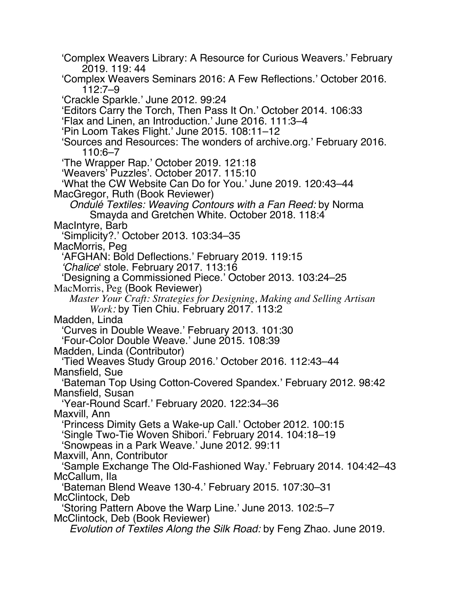'Complex Weavers Library: A Resource for Curious Weavers.' February 2019. 119: 44 'Complex Weavers Seminars 2016: A Few Reflections.' October 2016. 112:7–9 'Crackle Sparkle.' June 2012. 99:24 'Editors Carry the Torch, Then Pass It On.' October 2014. 106:33 'Flax and Linen, an Introduction.' June 2016. 111:3–4 'Pin Loom Takes Flight.' June 2015. 108:11–12 'Sources and Resources: The wonders of archive.org.' February 2016. 110:6–7 'The Wrapper Rap.' October 2019. 121:18 'Weavers' Puzzles'. October 2017. 115:10 'What the CW Website Can Do for You.' June 2019. 120:43–44 MacGregor, Ruth (Book Reviewer) *Ondulé Textiles: Weaving Contours with a Fan Reed:* by Norma Smayda and Gretchen White. October 2018. 118:4 MacIntyre, Barb 'Simplicity?.' October 2013. 103:34–35 MacMorris, Peg 'AFGHAN: Bold Deflections.' February 2019. 119:15 *'Chalice*' stole. February 2017. 113:16 'Designing a Commissioned Piece.' October 2013. 103:24–25 MacMorris, Peg (Book Reviewer) *Master Your Craft: Strategies for Designing, Making and Selling Artisan Work:* by Tien Chiu. February 2017. 113:2 Madden, Linda 'Curves in Double Weave.' February 2013. 101:30 'Four-Color Double Weave.' June 2015. 108:39 Madden, Linda (Contributor) 'Tied Weaves Study Group 2016.' October 2016. 112:43–44 Mansfield, Sue 'Bateman Top Using Cotton-Covered Spandex.' February 2012. 98:42 Mansfield, Susan 'Year-Round Scarf.' February 2020. 122:34–36 Maxvill, Ann 'Princess Dimity Gets a Wake-up Call.' October 2012. 100:15 'Single Two-Tie Woven Shibori.' February 2014. 104:18–19 'Snowpeas in a Park Weave.' June 2012. 99:11 Maxvill, Ann, Contributor 'Sample Exchange The Old-Fashioned Way.' February 2014. 104:42–43 McCallum, Ila 'Bateman Blend Weave 130-4.' February 2015. 107:30–31 McClintock, Deb 'Storing Pattern Above the Warp Line.' June 2013. 102:5–7 McClintock, Deb (Book Reviewer) *Evolution of Textiles Along the Silk Road:* by Feng Zhao. June 2019.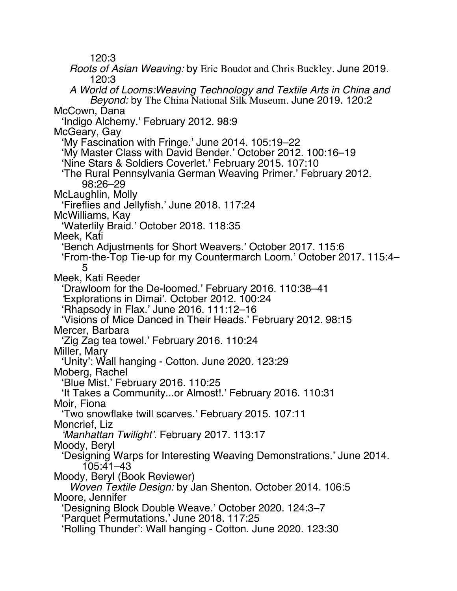120:3

*Roots of Asian Weaving:* by Eric Boudot and Chris Buckley. June 2019. 120:3 *A World of Looms:Weaving Technology and Textile Arts in China and Beyond:* by The China National Silk Museum. June 2019. 120:2 McCown, Dana 'Indigo Alchemy.' February 2012. 98:9 McGeary, Gay 'My Fascination with Fringe.' June 2014. 105:19–22 'My Master Class with David Bender.' October 2012. 100:16–19 'Nine Stars & Soldiers Coverlet.' February 2015. 107:10 'The Rural Pennsylvania German Weaving Primer.' February 2012. 98:26–29 McLaughlin, Molly 'Fireflies and Jellyfish.' June 2018. 117:24 McWilliams, Kay 'Waterlily Braid.' October 2018. 118:35 Meek, Kati 'Bench Adjustments for Short Weavers.' October 2017. 115:6 'From-the-Top Tie-up for my Countermarch Loom.' October 2017. 115:4– 5 Meek, Kati Reeder 'Drawloom for the De-loomed.' February 2016. 110:38–41 *'*Explorations in Dimai'. October 2012. 100:24 'Rhapsody in Flax.' June 2016. 111:12–16 'Visions of Mice Danced in Their Heads.' February 2012. 98:15 Mercer, Barbara 'Zig Zag tea towel.' February 2016. 110:24 Miller, Mary 'Unity': Wall hanging - Cotton. June 2020. 123:29 Moberg, Rachel 'Blue Mist.' February 2016. 110:25 'It Takes a Community...or Almost!.' February 2016. 110:31 Moir, Fiona 'Two snowflake twill scarves.' February 2015. 107:11 Moncrief, Liz *'Manhattan Twilight'.* February 2017. 113:17 Moody, Beryl 'Designing Warps for Interesting Weaving Demonstrations.' June 2014. 105:41–43 Moody, Beryl (Book Reviewer) *Woven Textile Design:* by Jan Shenton. October 2014. 106:5 Moore, Jennifer 'Designing Block Double Weave.' October 2020. 124:3–7 'Parquet Permutations.' June 2018. 117:25

'Rolling Thunder': Wall hanging - Cotton. June 2020. 123:30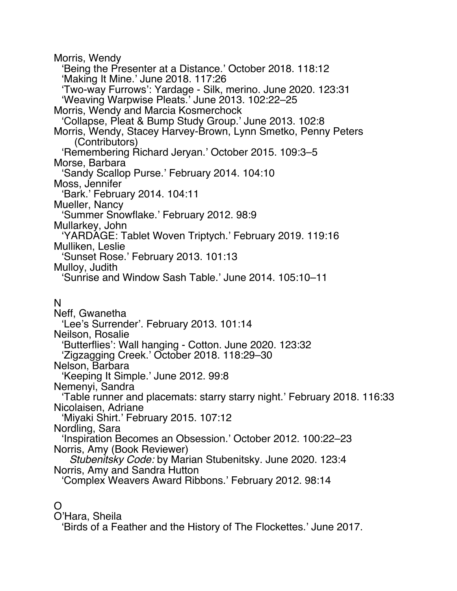Morris, Wendy 'Being the Presenter at a Distance.' October 2018. 118:12 'Making It Mine.' June 2018. 117:26 'Two-way Furrows': Yardage - Silk, merino. June 2020. 123:31 'Weaving Warpwise Pleats.' June 2013. 102:22–25 Morris, Wendy and Marcia Kosmerchock 'Collapse, Pleat & Bump Study Group.' June 2013. 102:8 Morris, Wendy, Stacey Harvey-Brown, Lynn Smetko, Penny Peters (Contributors) 'Remembering Richard Jeryan.' October 2015. 109:3–5 Morse, Barbara 'Sandy Scallop Purse.' February 2014. 104:10 Moss, Jennifer 'Bark.' February 2014. 104:11 Mueller, Nancy 'Summer Snowflake.' February 2012. 98:9 Mullarkey, John 'YARDAGE: Tablet Woven Triptych.' February 2019. 119:16 Mulliken, Leslie 'Sunset Rose.' February 2013. 101:13 Mulloy, Judith 'Sunrise and Window Sash Table.' June 2014. 105:10–11 N Neff, Gwanetha 'Lee's Surrender'. February 2013. 101:14 Neilson, Rosalie 'Butterflies': Wall hanging - Cotton. June 2020. 123:32 'Zigzagging Creek.' October 2018. 118:29–30 Nelson, Barbara 'Keeping It Simple.' June 2012. 99:8 Nemenyi, Sandra 'Table runner and placemats: starry starry night.' February 2018. 116:33 Nicolaisen, Adriane 'Miyaki Shirt.' February 2015. 107:12 Nordling, Sara 'Inspiration Becomes an Obsession.' October 2012. 100:22–23 Norris, Amy (Book Reviewer) *Stubenitsky Code:* by Marian Stubenitsky. June 2020. 123:4 Norris, Amy and Sandra Hutton 'Complex Weavers Award Ribbons.' February 2012. 98:14

### $\Omega$

O'Hara, Sheila

'Birds of a Feather and the History of The Flockettes.' June 2017.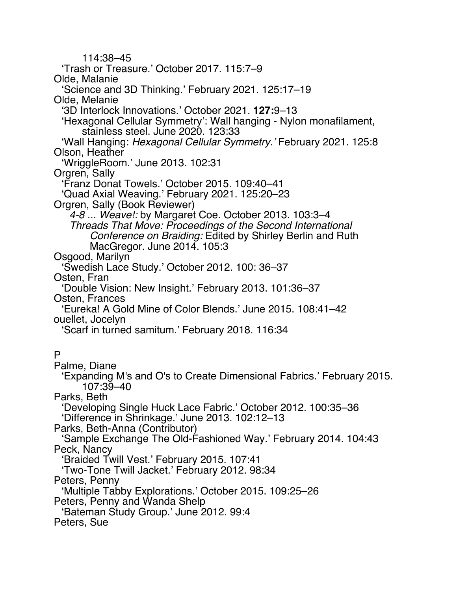114:38–45 'Trash or Treasure.' October 2017. 115:7–9 Olde, Malanie 'Science and 3D Thinking.' February 2021. 125:17–19 Olde, Melanie '3D Interlock Innovations.' October 2021. **127:**9–13 'Hexagonal Cellular Symmetry': Wall hanging - Nylon monafilament, stainless steel. June 2020. 123:33 'Wall Hanging: *Hexagonal Cellular Symmetry.'* February 2021. 125:8 Olson, Heather 'WriggleRoom.' June 2013. 102:31 Orgren, Sally 'Franz Donat Towels.' October 2015. 109:40–41 'Quad Axial Weaving.' February 2021. 125:20–23 Orgren, Sally (Book Reviewer) *4-8 ... Weave!:* by Margaret Coe. October 2013. 103:3–4 *Threads That Move: Proceedings of the Second International Conference on Braiding:* Edited by Shirley Berlin and Ruth MacGregor. June 2014. 105:3 Osgood, Marilyn 'Swedish Lace Study.' October 2012. 100: 36–37 Osten, Fran 'Double Vision: New Insight.' February 2013. 101:36–37 Osten, Frances 'Eureka! A Gold Mine of Color Blends.' June 2015. 108:41–42 ouellet, Jocelyn 'Scarf in turned samitum.' February 2018. 116:34 P Palme, Diane 'Expanding M's and O's to Create Dimensional Fabrics.' February 2015. 107:39–40 Parks, Beth 'Developing Single Huck Lace Fabric.' October 2012. 100:35–36 'Difference in Shrinkage.' June 2013. 102:12–13 Parks, Beth-Anna (Contributor) 'Sample Exchange The Old-Fashioned Way.' February 2014. 104:43 Peck, Nancy 'Braided Twill Vest.' February 2015. 107:41 'Two-Tone Twill Jacket.' February 2012. 98:34 Peters, Penny 'Multiple Tabby Explorations.' October 2015. 109:25–26 Peters, Penny and Wanda Shelp 'Bateman Study Group.' June 2012. 99:4 Peters, Sue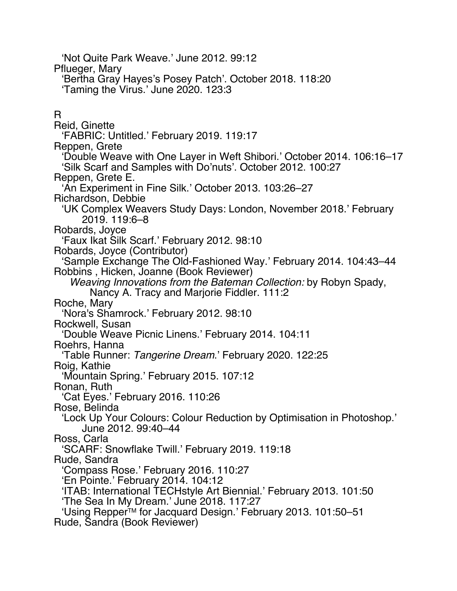'Not Quite Park Weave.' June 2012. 99:12 Pflueger, Mary 'Bertha Gray Hayes's Posey Patch'. October 2018. 118:20 'Taming the Virus.' June 2020. 123:3 R Reid, Ginette 'FABRIC: Untitled.' February 2019. 119:17 Reppen, Grete 'Double Weave with One Layer in Weft Shibori.' October 2014. 106:16–17 'Silk Scarf and Samples with Do'nuts'. October 2012. 100:27 Reppen, Grete E. 'An Experiment in Fine Silk.' October 2013. 103:26–27 Richardson, Debbie 'UK Complex Weavers Study Days: London, November 2018.' February 2019. 119:6–8 Robards, Joyce 'Faux Ikat Silk Scarf.' February 2012. 98:10 Robards, Joyce (Contributor) 'Sample Exchange The Old-Fashioned Way.' February 2014. 104:43–44 Robbins , Hicken, Joanne (Book Reviewer) *Weaving Innovations from the Bateman Collection:* by Robyn Spady, Nancy A. Tracy and Marjorie Fiddler. 111:2 Roche, Mary 'Nora's Shamrock.' February 2012. 98:10 Rockwell, Susan 'Double Weave Picnic Linens.' February 2014. 104:11 Roehrs, Hanna 'Table Runner: *Tangerine Dream*.' February 2020. 122:25 Roig, Kathie 'Mountain Spring.' February 2015. 107:12 Ronan, Ruth 'Cat Eyes.' February 2016. 110:26 Rose, Belinda 'Lock Up Your Colours: Colour Reduction by Optimisation in Photoshop.' June 2012. 99:40–44 Ross, Carla 'SCARF: Snowflake Twill.' February 2019. 119:18 Rude, Sandra 'Compass Rose.' February 2016. 110:27 'En Pointe.' February 2014. 104:12 'ITAB: International TECHstyle Art Biennial.' February 2013. 101:50 'The Sea In My Dream.' June 2018. 117:27 'Using RepperTM for Jacquard Design.' February 2013. 101:50–51 Rude, Sandra (Book Reviewer)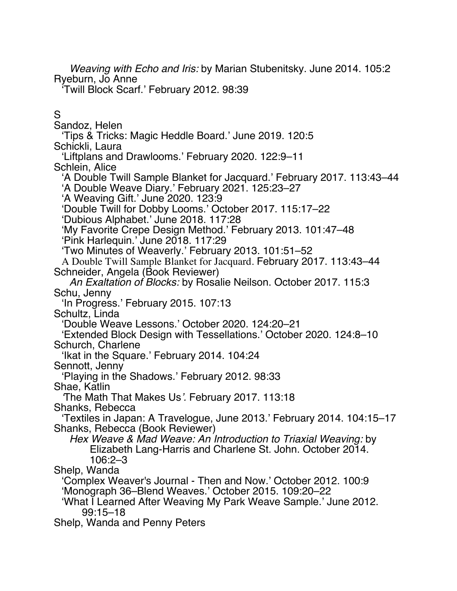*Weaving with Echo and Iris:* by Marian Stubenitsky. June 2014. 105:2 Ryeburn, Jo Anne

'Twill Block Scarf.' February 2012. 98:39

S

Sandoz, Helen

'Tips & Tricks: Magic Heddle Board.' June 2019. 120:5 Schickli, Laura

'Liftplans and Drawlooms.' February 2020. 122:9–11

Schlein, Alice

'A Double Twill Sample Blanket for Jacquard.' February 2017. 113:43–44 'A Double Weave Diary.' February 2021. 125:23–27

'A Weaving Gift.' June 2020. 123:9

'Double Twill for Dobby Looms.' October 2017. 115:17–22

'Dubious Alphabet.' June 2018. 117:28

'My Favorite Crepe Design Method.' February 2013. 101:47–48 'Pink Harlequin.' June 2018. 117:29

'Two Minutes of Weaverly.' February 2013. 101:51–52

A Double Twill Sample Blanket for Jacquard. February 2017. 113:43–44 Schneider, Angela (Book Reviewer)

*An Exaltation of Blocks:* by Rosalie Neilson. October 2017. 115:3 Schu, Jenny

'In Progress.' February 2015. 107:13

Schultz, Linda

'Double Weave Lessons.' October 2020. 124:20–21

'Extended Block Design with Tessellations.' October 2020. 124:8–10 Schurch, Charlene

'Ikat in the Square.' February 2014. 104:24

Sennott, Jenny

'Playing in the Shadows.' February 2012. 98:33

Shae, Katlin

*'*The Math That Makes Us*'.* February 2017. 113:18

Shanks, Rebecca

'Textiles in Japan: A Travelogue, June 2013.' February 2014. 104:15–17 Shanks, Rebecca (Book Reviewer)

*Hex Weave & Mad Weave: An Introduction to Triaxial Weaving:* by Elizabeth Lang-Harris and Charlene St. John. October 2014. 106:2–3

Shelp, Wanda

'Complex Weaver's Journal - Then and Now.' October 2012. 100:9 'Monograph 36–Blend Weaves.' October 2015. 109:20–22

'What I Learned After Weaving My Park Weave Sample.' June 2012. 99:15–18

Shelp, Wanda and Penny Peters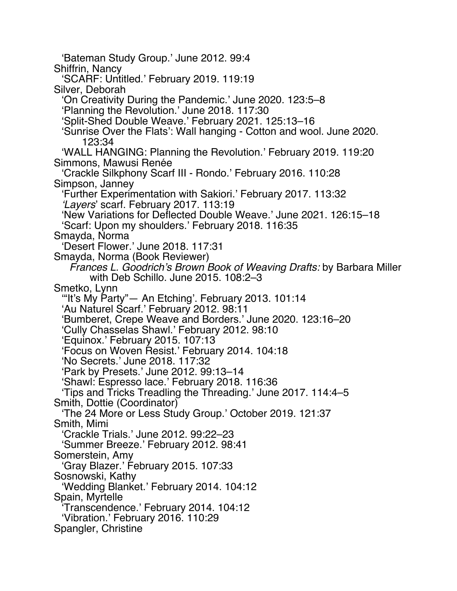'Bateman Study Group.' June 2012. 99:4 Shiffrin, Nancy 'SCARF: Untitled.' February 2019. 119:19 Silver, Deborah 'On Creativity During the Pandemic.' June 2020. 123:5–8 'Planning the Revolution.' June 2018. 117:30 'Split-Shed Double Weave.' February 2021. 125:13–16 'Sunrise Over the Flats': Wall hanging - Cotton and wool. June 2020. 123:34 'WALL HANGING: Planning the Revolution.' February 2019. 119:20 Simmons, Mawusi Renée 'Crackle Silkphony Scarf III - Rondo.' February 2016. 110:28 Simpson, Janney 'Further Experimentation with Sakiori.' February 2017. 113:32 *'Layers*' scarf. February 2017. 113:19 'New Variations for Deflected Double Weave.' June 2021. 126:15–18 'Scarf: Upon my shoulders.' February 2018. 116:35 Smayda, Norma 'Desert Flower.' June 2018. 117:31 Smayda, Norma (Book Reviewer) *Frances L. Goodrich's Brown Book of Weaving Drafts:* by Barbara Miller with Deb Schillo. June 2015. 108:2–3 Smetko, Lynn '"It's My Party"— An Etching'. February 2013. 101:14 'Au Naturel Scarf.' February 2012. 98:11 'Bumberet, Crepe Weave and Borders.' June 2020. 123:16–20 'Cully Chasselas Shawl.' February 2012. 98:10 'Equinox.' February 2015. 107:13 'Focus on Woven Resist.' February 2014. 104:18 'No Secrets.' June 2018. 117:32 'Park by Presets.' June 2012. 99:13–14 'Shawl: Espresso lace.' February 2018. 116:36 'Tips and Tricks Treadling the Threading.' June 2017. 114:4–5 Smith, Dottie (Coordinator) 'The 24 More or Less Study Group.' October 2019. 121:37 Smith, Mimi 'Crackle Trials.' June 2012. 99:22–23 'Summer Breeze.' February 2012. 98:41 Somerstein, Amy 'Gray Blazer.' February 2015. 107:33 Sosnowski, Kathy 'Wedding Blanket.' February 2014. 104:12 Spain, Myrtelle 'Transcendence.' February 2014. 104:12 'Vibration.' February 2016. 110:29 Spangler, Christine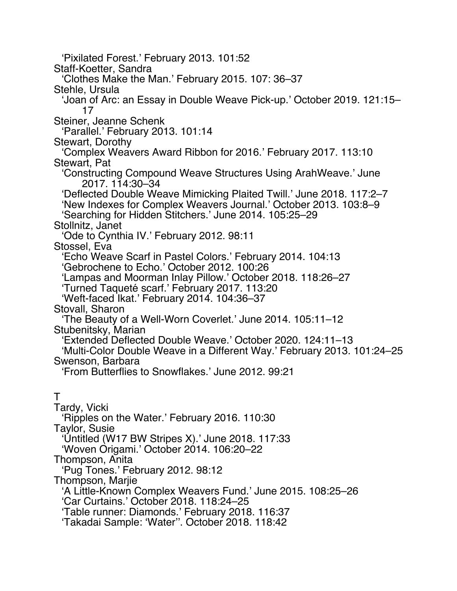'Pixilated Forest.' February 2013. 101:52 Staff-Koetter, Sandra 'Clothes Make the Man.' February 2015. 107: 36–37 Stehle, Ursula 'Joan of Arc: an Essay in Double Weave Pick-up.' October 2019. 121:15– 17 Steiner, Jeanne Schenk 'Parallel.' February 2013. 101:14 Stewart, Dorothy 'Complex Weavers Award Ribbon for 2016.' February 2017. 113:10 Stewart, Pat 'Constructing Compound Weave Structures Using ArahWeave.' June 2017. 114:30–34 'Deflected Double Weave Mimicking Plaited Twill.' June 2018. 117:2–7 'New Indexes for Complex Weavers Journal.' October 2013. 103:8–9 'Searching for Hidden Stitchers.' June 2014. 105:25–29 Stollnitz, Janet 'Ode to Cynthia IV.' February 2012. 98:11 Stossel, Eva 'Echo Weave Scarf in Pastel Colors.' February 2014. 104:13 'Gebrochene to Echo.' October 2012. 100:26 'Lampas and Moorman Inlay Pillow.' October 2018. 118:26–27 'Turned Taqueté scarf.' February 2017. 113:20 'Weft-faced Ikat.' February 2014. 104:36–37 Stovall, Sharon 'The Beauty of a Well-Worn Coverlet.' June 2014. 105:11–12 Stubenitsky, Marian 'Extended Deflected Double Weave.' October 2020. 124:11–13 'Multi-Color Double Weave in a Different Way.' February 2013. 101:24–25 Swenson, Barbara 'From Butterflies to Snowflakes.' June 2012. 99:21 T Tardy, Vicki 'Ripples on the Water.' February 2016. 110:30 Taylor, Susie 'Untitled (W17 BW Stripes X).' June 2018. 117:33 'Woven Origami.' October 2014. 106:20–22 Thompson, Anita 'Pug Tones.' February 2012. 98:12 Thompson, Marjie 'A Little-Known Complex Weavers Fund.' June 2015. 108:25–26 'Car Curtains.' October 2018. 118:24–25 'Table runner: Diamonds.' February 2018. 116:37 'Takadai Sample: 'Water''. October 2018. 118:42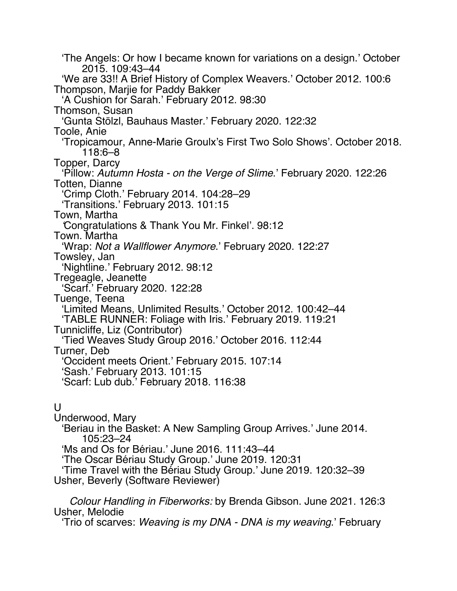'The Angels: Or how I became known for variations on a design.' October 2015. 109:43–44 'We are 33!! A Brief History of Complex Weavers.' October 2012. 100:6 Thompson, Marjie for Paddy Bakker 'A Cushion for Sarah.' February 2012. 98:30 Thomson, Susan 'Gunta Stölzl, Bauhaus Master.' February 2020. 122:32 Toole, Anie 'Tropicamour, Anne-Marie Groulx's First Two Solo Shows'. October 2018. 118:6–8 Topper, Darcy 'Pillow: *Autumn Hosta - on the Verge of Slime*.' February 2020. 122:26 Totten, Dianne 'Crimp Cloth.' February 2014. 104:28–29 'Transitions.' February 2013. 101:15 Town, Martha *'*Congratulations & Thank You Mr. Finkel'. 98:12 Town. Martha 'Wrap: *Not a Wallflower Anymore*.' February 2020. 122:27 Towsley, Jan 'Nightline.' February 2012. 98:12 Tregeagle, Jeanette 'Scarf.' February 2020. 122:28 Tuenge, Teena 'Limited Means, Unlimited Results.' October 2012. 100:42–44 'TABLE RUNNER: Foliage with Iris.' February 2019. 119:21 Tunnicliffe, Liz (Contributor) 'Tied Weaves Study Group 2016.' October 2016. 112:44 Turner, Deb 'Occident meets Orient.' February 2015. 107:14 'Sash.' February 2013. 101:15 'Scarf: Lub dub.' February 2018. 116:38  $\mathbf{U}$ 

Underwood, Mary 'Beriau in the Basket: A New Sampling Group Arrives.' June 2014. 105:23–24 'Ms and Os for Bériau.' June 2016. 111:43–44 'The Oscar Bériau Study Group.' June 2019. 120:31 'Time Travel with the Bériau Study Group.' June 2019. 120:32–39

Usher, Beverly (Software Reviewer)

*Colour Handling in Fiberworks:* by Brenda Gibson. June 2021. 126:3 Usher, Melodie

'Trio of scarves: *Weaving is my DNA - DNA is my weaving*.' February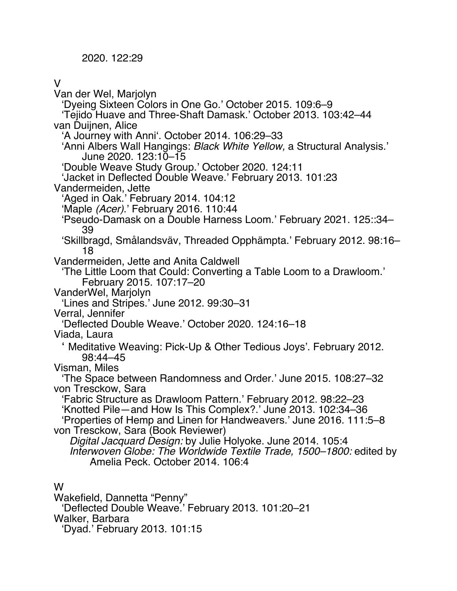2020. 122:29

#### V

Van der Wel, Marjolyn 'Dyeing Sixteen Colors in One Go.' October 2015. 109:6–9 'Tejido Huave and Three-Shaft Damask.' October 2013. 103:42–44 van Duijnen, Alice 'A Journey with Anni'. October 2014. 106:29–33 'Anni Albers Wall Hangings: *Black White Yellow,* a Structural Analysis.' June 2020. 123:10–15 'Double Weave Study Group.' October 2020. 124:11 'Jacket in Deflected Double Weave.' February 2013. 101:23 Vandermeiden, Jette 'Aged in Oak.' February 2014. 104:12 'Maple *(Acer)*.' February 2016. 110:44 'Pseudo-Damask on a Double Harness Loom.' February 2021. 125::34– 39 'Skillbragd, Smålandsväv, Threaded Opphämpta.' February 2012. 98:16– 18 Vandermeiden, Jette and Anita Caldwell 'The Little Loom that Could: Converting a Table Loom to a Drawloom.' February 2015. 107:17–20 VanderWel, Marjolyn 'Lines and Stripes.' June 2012. 99:30–31 Verral, Jennifer 'Deflected Double Weave.' October 2020. 124:16–18 Viada, Laura ' Meditative Weaving: Pick-Up & Other Tedious Joys'. February 2012. 98:44–45 Visman, Miles 'The Space between Randomness and Order.' June 2015. 108:27–32 von Tresckow, Sara 'Fabric Structure as Drawloom Pattern.' February 2012. 98:22–23 'Knotted Pile—and How Is This Complex?.' June 2013. 102:34–36 'Properties of Hemp and Linen for Handweavers.' June 2016. 111:5–8 von Tresckow, Sara (Book Reviewer) *Digital Jacquard Design:* by Julie Holyoke. June 2014. 105:4 *Interwoven Globe: The Worldwide Textile Trade, 1500–1800:* edited by Amelia Peck. October 2014. 106:4 W Wakefield, Dannetta "Penny"

'Deflected Double Weave.' February 2013. 101:20–21 Walker, Barbara

'Dyad.' February 2013. 101:15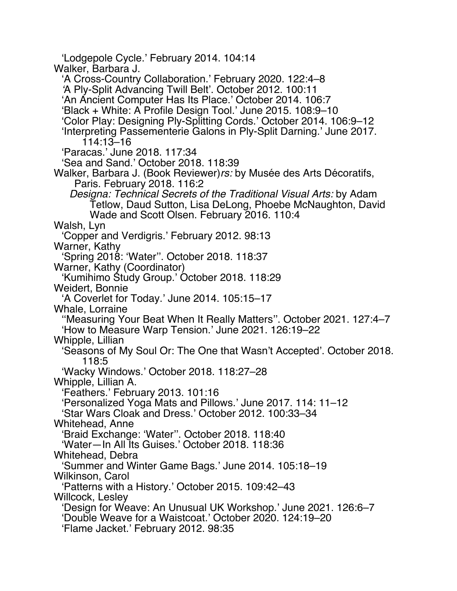'Lodgepole Cycle.' February 2014. 104:14 Walker, Barbara J. 'A Cross-Country Collaboration.' February 2020. 122:4–8 *'*A Ply-Split Advancing Twill Belt'. October 2012. 100:11 'An Ancient Computer Has Its Place.' October 2014. 106:7 'Black + White: A Profile Design Tool.' June 2015. 108:9–10 'Color Play: Designing Ply-Splitting Cords.' October 2014. 106:9–12 'Interpreting Passementerie Galons in Ply-Split Darning.' June 2017. 114:13–16 'Paracas.' June 2018. 117:34 'Sea and Sand.' October 2018. 118:39 Walker, Barbara J. (Book Reviewer)*rs:* by Musée des Arts Décoratifs, Paris. February 2018. 116:2 *Designa: Technical Secrets of the Traditional Visual Arts:* by Adam Tetlow, Daud Sutton, Lisa DeLong, Phoebe McNaughton, David Wade and Scott Olsen. February 2016. 110:4 Walsh, Lyn 'Copper and Verdigris.' February 2012. 98:13 Warner, Kathy 'Spring 2018: 'Water''. October 2018. 118:37 Warner, Kathy (Coordinator) 'Kumihimo Study Group.' October 2018. 118:29 Weidert, Bonnie 'A Coverlet for Today.' June 2014. 105:15–17 Whale, Lorraine ''Measuring Your Beat When It Really Matters''. October 2021. 127:4–7 'How to Measure Warp Tension.' June 2021. 126:19–22 Whipple, Lillian 'Seasons of My Soul Or: The One that Wasn't Accepted'. October 2018. 118:5 'Wacky Windows.' October 2018. 118:27–28 Whipple, Lillian A. 'Feathers.' February 2013. 101:16 'Personalized Yoga Mats and Pillows.' June 2017. 114: 11–12 'Star Wars Cloak and Dress.' October 2012. 100:33–34 Whitehead, Anne 'Braid Exchange: 'Water''. October 2018. 118:40 'Water—In All Its Guises.' October 2018. 118:36 Whitehead, Debra 'Summer and Winter Game Bags.' June 2014. 105:18–19 Wilkinson, Carol 'Patterns with a History.' October 2015. 109:42–43 Willcock, Lesley 'Design for Weave: An Unusual UK Workshop.' June 2021. 126:6–7 'Double Weave for a Waistcoat.' October 2020. 124:19–20 'Flame Jacket.' February 2012. 98:35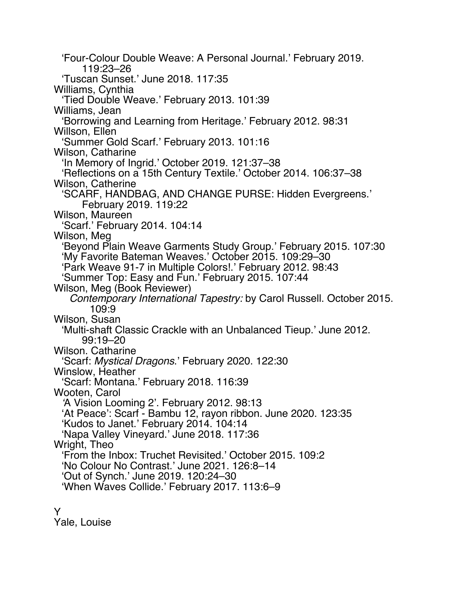'Four-Colour Double Weave: A Personal Journal.' February 2019. 119:23–26 'Tuscan Sunset.' June 2018. 117:35 Williams, Cynthia 'Tied Double Weave.' February 2013. 101:39 Williams, Jean 'Borrowing and Learning from Heritage.' February 2012. 98:31 Willson, Ellen 'Summer Gold Scarf.' February 2013. 101:16 Wilson, Catharine 'In Memory of Ingrid.' October 2019. 121:37–38 'Reflections on a 15th Century Textile.' October 2014. 106:37–38 Wilson, Catherine 'SCARF, HANDBAG, AND CHANGE PURSE: Hidden Evergreens.' February 2019. 119:22 Wilson, Maureen 'Scarf.' February 2014. 104:14 Wilson, Meg 'Beyond Plain Weave Garments Study Group.' February 2015. 107:30 'My Favorite Bateman Weaves.' October 2015. 109:29–30 'Park Weave 91-7 in Multiple Colors!.' February 2012. 98:43 'Summer Top: Easy and Fun.' February 2015. 107:44 Wilson, Meg (Book Reviewer) *Contemporary International Tapestry:* by Carol Russell. October 2015. 109:9 Wilson, Susan 'Multi-shaft Classic Crackle with an Unbalanced Tieup.' June 2012. 99:19–20 Wilson. Catharine 'Scarf: *Mystical Dragons*.' February 2020. 122:30 Winslow, Heather 'Scarf: Montana.' February 2018. 116:39 Wooten, Carol *'*A Vision Looming 2'. February 2012. 98:13 'At Peace': Scarf - Bambu 12, rayon ribbon. June 2020. 123:35 'Kudos to Janet.' February 2014. 104:14 'Napa Valley Vineyard.' June 2018. 117:36 Wright, Theo 'From the Inbox: Truchet Revisited.' October 2015. 109:2 'No Colour No Contrast.' June 2021. 126:8–14 'Out of Synch.' June 2019. 120:24–30 'When Waves Collide.' February 2017. 113:6–9

Y

Yale, Louise